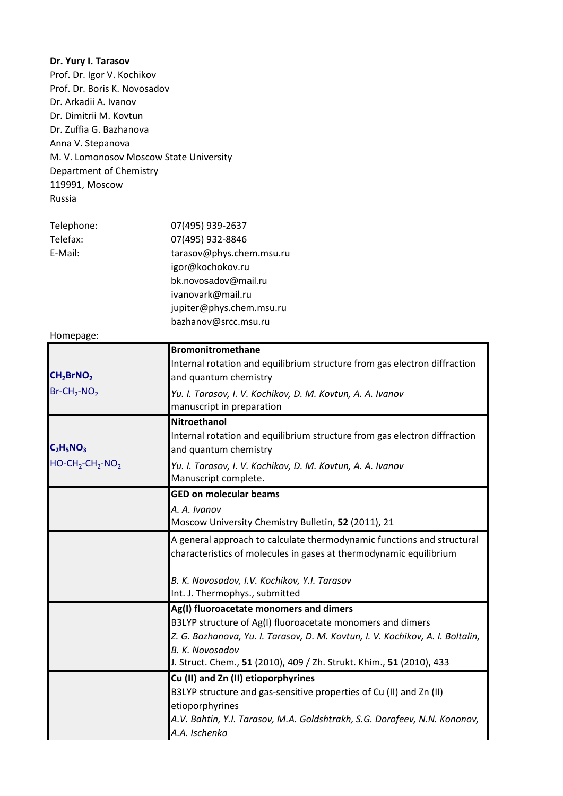Prof. Dr. Igor V. Kochikov Prof. Dr. Boris K. Novosadov Dr. Arkadii A. Ivanov Dr. Dimitrii M. Kovtun Dr. Zuffia G. Bazhanova Anna V. Stepanova M. V. Lomonosov Moscow State University Department of Chemistry 119991, Moscow Russia Telephone: 07(495) 939-2637 Telefax: 07(495) 932-8846 E-Mail: tarasov@phys.chem.msu.ru igor@kochokov.ru bk.novosadov@mail.ru ivanovark@mail.ru jupiter@phys.chem.msu.ru bazhanov@srcc.msu.ru Homepage: **Bromonitromethane** CH<sub>2</sub>BrNO<sub>2</sub> Internal rotation and equilibrium structure from gas electron diffraction and quantum chemistry Br-CH2-NO2 *Yu. I. Tarasov, I. V. Kochikov, D. M. Kovtun, A. A. Ivanov* manuscript in preparation **Nitroethanol**  $C_2H_5NO_3$ Internal rotation and equilibrium structure from gas electron diffraction and quantum chemistry HO-CH2-CH2-NO2 *Yu. I. Tarasov, I. V. Kochikov, D. M. Kovtun, A. A. Ivanov* Manuscript complete. **GED on molecular beams** *A. A. Ivanov* Moscow University Chemistry Bulletin, **52** (2011), 21 A general approach to calculate thermodynamic functions and structural characteristics of molecules in gases at thermodynamic equilibrium *B. K. Novosadov, I.V. Kochikov, Y.I. Tarasov* Int. J. Thermophys., submitted **Ag(I) fluoroacetate monomers and dimers** B3LYP structure of Ag(I) fluoroacetate monomers and dimers *Z. G. Bazhanova, Yu. I. Tarasov, D. M. Kovtun, I. V. Kochikov, A. I. Boltalin, B. K. Novosadov* J. Struct. Chem., **51** (2010), 409 / Zh. Strukt. Khim., **51** (2010), 433 **Cu (II) and Zn (II) etioporphyrines** B3LYP structure and gas-sensitive properties of Cu (II) and Zn (II) etioporphyrines *A.V. Bahtin, Y.I. Tarasov, M.A. Goldshtrakh, S.G. Dorofeev, N.N. Kononov, A.A. Ischenko* **Dr. Yury I. Tarasov**